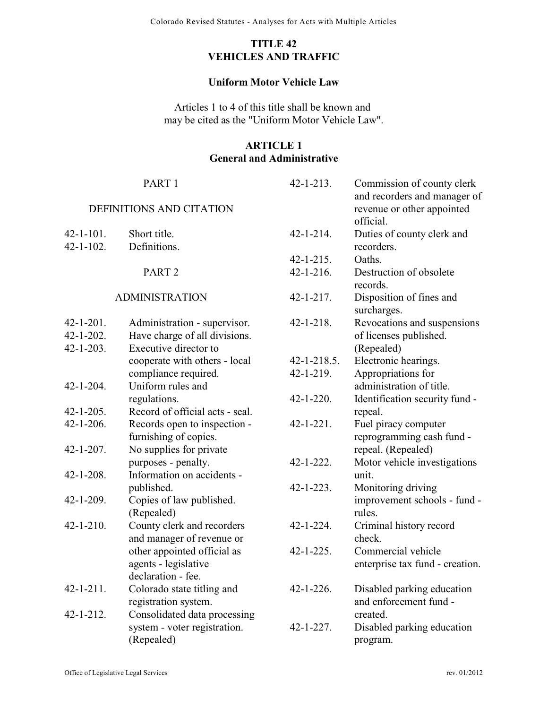# **TITLE 42 VEHICLES AND TRAFFIC**

#### **Uniform Motor Vehicle Law**

Articles 1 to 4 of this title shall be known and may be cited as the "Uniform Motor Vehicle Law".

## **ARTICLE 1 General and Administrative**

|                  | PART <sub>1</sub>               | $42 - 1 - 213$ .   | Commission of county clerk<br>and recorders and manager of |
|------------------|---------------------------------|--------------------|------------------------------------------------------------|
|                  | DEFINITIONS AND CITATION        |                    | revenue or other appointed<br>official.                    |
| $42 - 1 - 101.$  | Short title.                    | $42 - 1 - 214$ .   | Duties of county clerk and                                 |
| $42 - 1 - 102$ . | Definitions.                    |                    | recorders.                                                 |
|                  |                                 | $42 - 1 - 215$ .   | Oaths.                                                     |
|                  | PART <sub>2</sub>               | $42 - 1 - 216.$    | Destruction of obsolete<br>records.                        |
|                  | <b>ADMINISTRATION</b>           | $42 - 1 - 217$ .   | Disposition of fines and<br>surcharges.                    |
| 42-1-201.        | Administration - supervisor.    | $42 - 1 - 218$ .   | Revocations and suspensions                                |
| 42-1-202.        | Have charge of all divisions.   |                    | of licenses published.                                     |
| $42 - 1 - 203$ . | Executive director to           |                    | (Repealed)                                                 |
|                  | cooperate with others - local   | $42 - 1 - 218.5$ . | Electronic hearings.                                       |
|                  | compliance required.            | $42 - 1 - 219$ .   | Appropriations for                                         |
| $42 - 1 - 204$ . | Uniform rules and               |                    | administration of title.                                   |
|                  | regulations.                    | $42 - 1 - 220$ .   | Identification security fund -                             |
| 42-1-205.        | Record of official acts - seal. |                    | repeal.                                                    |
| $42 - 1 - 206.$  | Records open to inspection -    | $42 - 1 - 221$ .   | Fuel piracy computer                                       |
|                  | furnishing of copies.           |                    | reprogramming cash fund -                                  |
| $42 - 1 - 207$ . | No supplies for private         |                    | repeal. (Repealed)                                         |
|                  | purposes - penalty.             | $42 - 1 - 222$ .   | Motor vehicle investigations                               |
| $42 - 1 - 208.$  | Information on accidents -      |                    | unit.                                                      |
|                  | published.                      | $42 - 1 - 223$ .   | Monitoring driving                                         |
| 42-1-209.        | Copies of law published.        |                    | improvement schools - fund -                               |
|                  | (Repealed)                      |                    | rules.                                                     |
| $42 - 1 - 210.$  | County clerk and recorders      | $42 - 1 - 224$ .   | Criminal history record                                    |
|                  | and manager of revenue or       |                    | check.                                                     |
|                  | other appointed official as     | $42 - 1 - 225$ .   | Commercial vehicle                                         |
|                  | agents - legislative            |                    | enterprise tax fund - creation.                            |
|                  | declaration - fee.              |                    |                                                            |
| 42-1-211.        | Colorado state titling and      | $42 - 1 - 226$ .   | Disabled parking education                                 |
|                  | registration system.            |                    | and enforcement fund -                                     |
| 42-1-212.        | Consolidated data processing    |                    | created.                                                   |
|                  | system - voter registration.    | $42 - 1 - 227$ .   | Disabled parking education                                 |
|                  | (Repealed)                      |                    | program.                                                   |
|                  |                                 |                    |                                                            |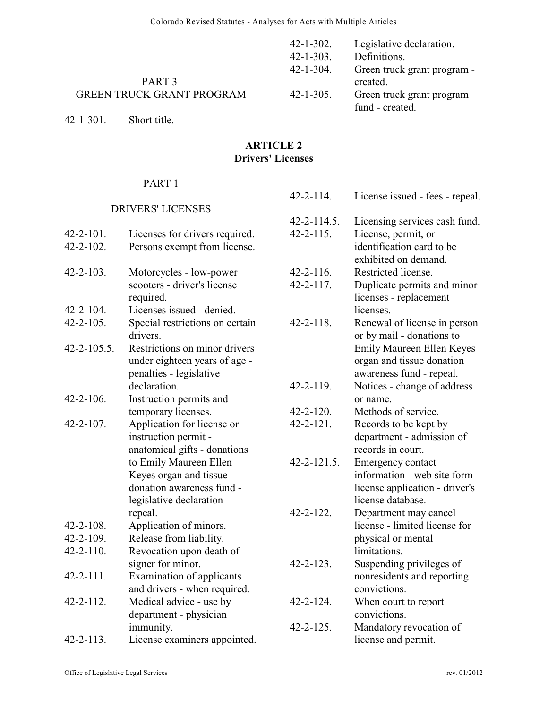|                                  | 42-1-302.        | Legislative declaration.    |
|----------------------------------|------------------|-----------------------------|
|                                  | $42 - 1 - 303$ . | Definitions.                |
|                                  | 42-1-304.        | Green truck grant program - |
| PART <sub>3</sub>                |                  | created.                    |
| <b>GREEN TRUCK GRANT PROGRAM</b> | $42 - 1 - 305$ . | Green truck grant program   |
|                                  |                  | fund - created.             |

42-1-301. Short title.

# **ARTICLE 2 Drivers' Licenses**

# PART 1

# DRIVERS' LICENSES

| 42-2-101.<br>$42 - 2 - 102$ . | Licenses for drivers required.<br>Persons exempt from license.                                                                                                                                              |
|-------------------------------|-------------------------------------------------------------------------------------------------------------------------------------------------------------------------------------------------------------|
| $42 - 2 - 103$ .              | Motorcycles - low-power<br>scooters - driver's license<br>required.                                                                                                                                         |
| $42 - 2 - 104$ .              | Licenses issued - denied.                                                                                                                                                                                   |
| $42 - 2 - 105$ .              | Special restrictions on certain<br>drivers.                                                                                                                                                                 |
| $42 - 2 - 105.5$ .            | Restrictions on minor drivers<br>under eighteen years of age -<br>penalties - legislative<br>declaration.                                                                                                   |
| $42 - 2 - 106$ .              | Instruction permits and<br>temporary licenses.                                                                                                                                                              |
| $42 - 2 - 107$ .              | Application for license or<br>instruction permit -<br>anatomical gifts - donations<br>to Emily Maureen Ellen<br>Keyes organ and tissue<br>donation awareness fund -<br>legislative declaration -<br>repeal. |
| $42 - 2 - 108$ .              | Application of minors.                                                                                                                                                                                      |
| $42 - 2 - 109$ .              | Release from liability.                                                                                                                                                                                     |
| $42 - 2 - 110$ .              | Revocation upon death of<br>signer for minor.                                                                                                                                                               |
| $42 - 2 - 111$ .              | Examination of applicants<br>and drivers - when required.                                                                                                                                                   |
| 42-2-112.                     | Medical advice - use by<br>department - physician<br>immunity.                                                                                                                                              |
| $42 - 2 - 113$ .              | License examiners appointed.                                                                                                                                                                                |

| $42 - 2 - 114.$    | License issued - fees - repeal.  |
|--------------------|----------------------------------|
| $42 - 2 - 114.5$ . | Licensing services cash fund.    |
| $42 - 2 - 115$ .   | License, permit, or              |
|                    | identification card to be        |
|                    | exhibited on demand.             |
| $42 - 2 - 116$ .   | Restricted license.              |
| $42 - 2 - 117$ .   | Duplicate permits and minor      |
|                    | licenses - replacement           |
|                    | licenses.                        |
| $42 - 2 - 118$ .   | Renewal of license in person     |
|                    | or by mail - donations to        |
|                    | <b>Emily Maureen Ellen Keyes</b> |
|                    | organ and tissue donation        |
|                    | awareness fund - repeal.         |
| $42 - 2 - 119$ .   | Notices - change of address      |
|                    | or name.                         |
| $42 - 2 - 120$ .   | Methods of service.              |
| $42 - 2 - 121$ .   | Records to be kept by            |
|                    | department - admission of        |
|                    | records in court.                |
| $42 - 2 - 121.5$ . | Emergency contact                |
|                    | information - web site form -    |
|                    | license application - driver's   |
|                    | license database.                |
| $42 - 2 - 122$ .   | Department may cancel            |
|                    | license - limited license for    |
|                    | physical or mental               |
|                    | limitations.                     |
| $42 - 2 - 123$ .   | Suspending privileges of         |
|                    | nonresidents and reporting       |
|                    | convictions.                     |
| $42 - 2 - 124$ .   | When court to report             |
|                    | convictions.                     |
| $42 - 2 - 125$ .   | Mandatory revocation of          |
|                    | license and permit.              |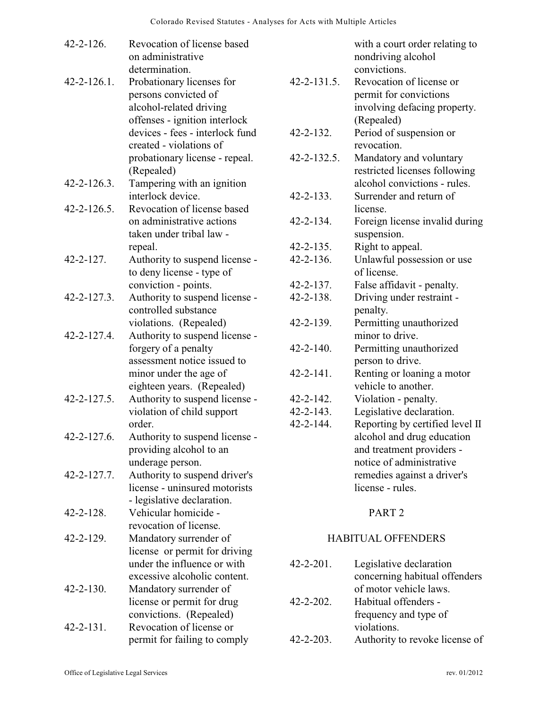| $42 - 2 - 126$ .   | Revocation of license based<br>on administrative<br>determination.                                            |                                     | with a court order relating to<br>nondriving alcohol<br>convictions.                             |
|--------------------|---------------------------------------------------------------------------------------------------------------|-------------------------------------|--------------------------------------------------------------------------------------------------|
| $42 - 2 - 126.1$ . | Probationary licenses for<br>persons convicted of<br>alcohol-related driving<br>offenses - ignition interlock | $42 - 2 - 131.5$ .                  | Revocation of license or<br>permit for convictions<br>involving defacing property.<br>(Repealed) |
|                    | devices - fees - interlock fund<br>created - violations of                                                    | $42 - 2 - 132$ .                    | Period of suspension or<br>revocation.                                                           |
|                    | probationary license - repeal.<br>(Repealed)                                                                  | 42-2-132.5.                         | Mandatory and voluntary<br>restricted licenses following                                         |
| $42 - 2 - 126.3$ . | Tampering with an ignition<br>interlock device.                                                               | $42 - 2 - 133$ .                    | alcohol convictions - rules.<br>Surrender and return of                                          |
| $42 - 2 - 126.5$ . | Revocation of license based<br>on administrative actions                                                      | $42 - 2 - 134.$                     | license.<br>Foreign license invalid during                                                       |
|                    | taken under tribal law -                                                                                      |                                     | suspension.                                                                                      |
| $42 - 2 - 127$ .   | repeal.<br>Authority to suspend license -                                                                     | $42 - 2 - 135$ .<br>$42 - 2 - 136.$ | Right to appeal.<br>Unlawful possession or use                                                   |
|                    | to deny license - type of                                                                                     |                                     | of license.                                                                                      |
|                    | conviction - points.                                                                                          | $42 - 2 - 137$ .                    | False affidavit - penalty.                                                                       |
| $42 - 2 - 127.3$ . | Authority to suspend license -<br>controlled substance                                                        | 42-2-138.                           | Driving under restraint -<br>penalty.                                                            |
| 42-2-127.4.        | violations. (Repealed)<br>Authority to suspend license -                                                      | 42-2-139.                           | Permitting unauthorized<br>minor to drive.                                                       |
|                    | forgery of a penalty<br>assessment notice issued to                                                           | $42 - 2 - 140.$                     | Permitting unauthorized<br>person to drive.                                                      |
|                    | minor under the age of<br>eighteen years. (Repealed)                                                          | $42 - 2 - 141$ .                    | Renting or loaning a motor<br>vehicle to another.                                                |
| 42-2-127.5.        | Authority to suspend license -                                                                                | $42 - 2 - 142$ .                    | Violation - penalty.                                                                             |
|                    | violation of child support                                                                                    | $42 - 2 - 143$ .                    | Legislative declaration.                                                                         |
|                    | order.                                                                                                        | $42 - 2 - 144.$                     | Reporting by certified level II                                                                  |
| 42-2-127.6.        | Authority to suspend license -                                                                                |                                     | alcohol and drug education                                                                       |
|                    | providing alcohol to an                                                                                       |                                     | and treatment providers -                                                                        |
|                    | underage person.                                                                                              |                                     | notice of administrative                                                                         |
| 42-2-127.7.        | Authority to suspend driver's<br>license - uninsured motorists                                                |                                     | remedies against a driver's                                                                      |
|                    |                                                                                                               |                                     | license - rules.                                                                                 |
| $42 - 2 - 128$ .   | - legislative declaration.<br>Vehicular homicide -                                                            |                                     | PART <sub>2</sub>                                                                                |
|                    | revocation of license.                                                                                        |                                     |                                                                                                  |
| $42 - 2 - 129$ .   | Mandatory surrender of                                                                                        |                                     | <b>HABITUAL OFFENDERS</b>                                                                        |
|                    | license or permit for driving                                                                                 |                                     |                                                                                                  |
|                    | under the influence or with                                                                                   | $42 - 2 - 201$ .                    | Legislative declaration                                                                          |
|                    | excessive alcoholic content.                                                                                  |                                     | concerning habitual offenders                                                                    |
| $42 - 2 - 130$ .   | Mandatory surrender of                                                                                        |                                     | of motor vehicle laws.                                                                           |
|                    | license or permit for drug                                                                                    | $42 - 2 - 202$ .                    | Habitual offenders -                                                                             |
|                    | convictions. (Repealed)                                                                                       |                                     | frequency and type of                                                                            |
| $42 - 2 - 131$ .   | Revocation of license or                                                                                      |                                     | violations.                                                                                      |
|                    | permit for failing to comply                                                                                  | $42 - 2 - 203$ .                    | Authority to revoke license of                                                                   |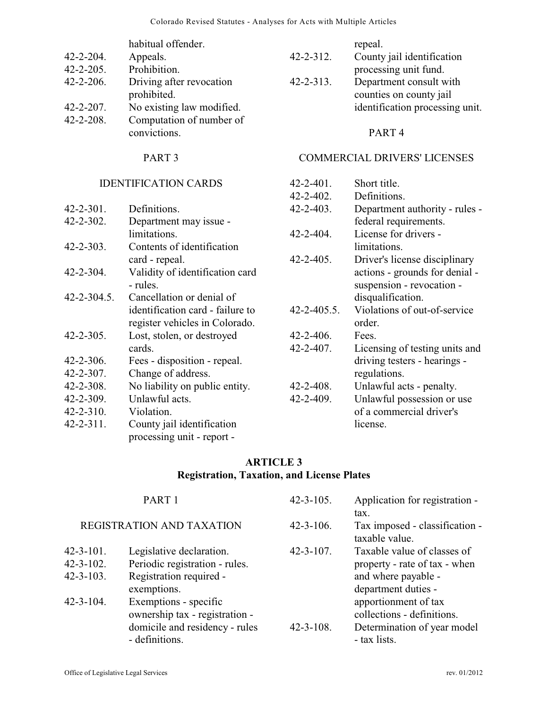|                  | habitual offender.                       |                  | repeal.                                            |
|------------------|------------------------------------------|------------------|----------------------------------------------------|
| $42 - 2 - 204$ . | Appeals.                                 | $42 - 2 - 312$ . | County jail identification                         |
| $42 - 2 - 205$ . | Prohibition.                             |                  | processing unit fund.                              |
| $42 - 2 - 206$ . | Driving after revocation<br>prohibited.  | $42 - 2 - 313$ . | Department consult with<br>counties on county jail |
| $42 - 2 - 207$ . | No existing law modified.                |                  | identification processing unit.                    |
| $42 - 2 - 208$ . | Computation of number of<br>convictions. |                  | PART <sub>4</sub>                                  |
|                  |                                          |                  |                                                    |

COMMERCIAL DRIVERS' LICENSES

# PART 3

### IDENTIFICATION CARDS

| <b>IDENTIFICATION CARDS</b> |                                  | $42 - 2 - 401$ .   | Short title.                   |
|-----------------------------|----------------------------------|--------------------|--------------------------------|
|                             |                                  | $42 - 2 - 402$ .   | Definitions.                   |
| $42 - 2 - 301$ .            | Definitions.                     | $42 - 2 - 403$ .   | Department authority - rules - |
| $42 - 2 - 302$ .            | Department may issue -           |                    | federal requirements.          |
|                             | limitations.                     | $42 - 2 - 404$ .   | License for drivers -          |
| $42 - 2 - 303$ .            | Contents of identification       |                    | limitations.                   |
|                             | card - repeal.                   | $42 - 2 - 405$ .   | Driver's license disciplinary  |
| $42 - 2 - 304.$             | Validity of identification card  |                    | actions - grounds for denial - |
|                             | - rules.                         |                    | suspension - revocation -      |
| $42 - 2 - 304.5$ .          | Cancellation or denial of        |                    | disqualification.              |
|                             | identification card - failure to | $42 - 2 - 405.5$ . | Violations of out-of-service   |
|                             | register vehicles in Colorado.   |                    | order.                         |
| $42 - 2 - 305$ .            | Lost, stolen, or destroyed       | $42 - 2 - 406.$    | Fees.                          |
|                             | cards.                           | $42 - 2 - 407$ .   | Licensing of testing units and |
| $42 - 2 - 306.$             | Fees - disposition - repeal.     |                    | driving testers - hearings -   |
| $42 - 2 - 307$ .            | Change of address.               |                    | regulations.                   |
| $42 - 2 - 308$ .            | No liability on public entity.   | $42 - 2 - 408$ .   | Unlawful acts - penalty.       |
| $42 - 2 - 309$ .            | Unlawful acts.                   | $42 - 2 - 409$ .   | Unlawful possession or use     |
| $42 - 2 - 310$ .            | Violation.                       |                    | of a commercial driver's       |
| $42 - 2 - 311$ .            | County jail identification       |                    | license.                       |
|                             | processing unit - report -       |                    |                                |

# **ARTICLE 3 Registration, Taxation, and License Plates**

|                                                          | PART <sub>1</sub>                                                                                           | $42 - 3 - 105$ . | Application for registration -                                                                             |
|----------------------------------------------------------|-------------------------------------------------------------------------------------------------------------|------------------|------------------------------------------------------------------------------------------------------------|
|                                                          | REGISTRATION AND TAXATION                                                                                   | $42 - 3 - 106$ . | tax.<br>Tax imposed - classification -<br>taxable value.                                                   |
| $42 - 3 - 101$ .<br>$42 - 3 - 102$ .<br>$42 - 3 - 103$ . | Legislative declaration.<br>Periodic registration - rules.<br>Registration required -<br>exemptions.        | $42 - 3 - 107$ . | Taxable value of classes of<br>property - rate of tax - when<br>and where payable -<br>department duties - |
| $42 - 3 - 104$ .                                         | Exemptions - specific<br>ownership tax - registration -<br>domicile and residency - rules<br>- definitions. | $42 - 3 - 108$ . | apportionment of tax<br>collections - definitions.<br>Determination of year model<br>- tax lists.          |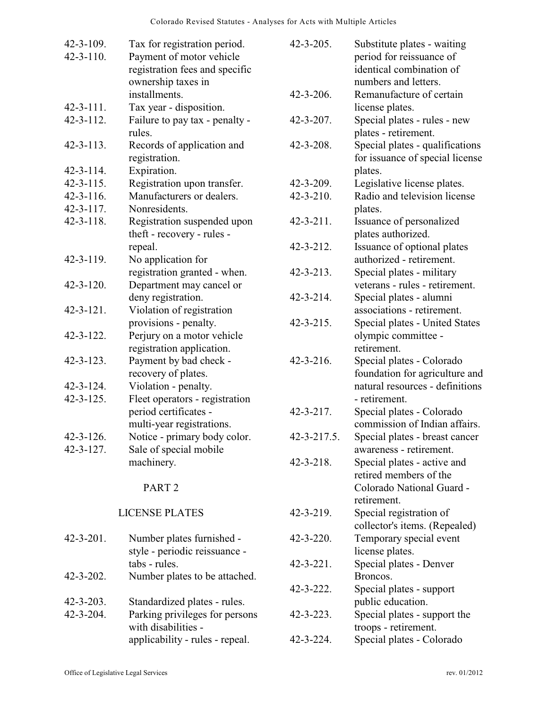| $42 - 3 - 109$ . | Tax for registration period.    | $42 - 3 - 205$ . | Substitute plates - waiting     |
|------------------|---------------------------------|------------------|---------------------------------|
| $42 - 3 - 110$ . | Payment of motor vehicle        |                  | period for reissuance of        |
|                  | registration fees and specific  |                  | identical combination of        |
|                  | ownership taxes in              |                  | numbers and letters.            |
|                  | installments.                   | 42-3-206.        | Remanufacture of certain        |
| $42 - 3 - 111$ . | Tax year - disposition.         |                  | license plates.                 |
| $42 - 3 - 112$ . | Failure to pay tax - penalty -  | $42 - 3 - 207$ . | Special plates - rules - new    |
|                  | rules.                          |                  | plates - retirement.            |
| $42 - 3 - 113$ . | Records of application and      | $42 - 3 - 208$ . | Special plates - qualifications |
|                  | registration.                   |                  | for issuance of special license |
| $42 - 3 - 114$ . | Expiration.                     |                  | plates.                         |
| $42 - 3 - 115$ . | Registration upon transfer.     | $42 - 3 - 209$ . | Legislative license plates.     |
| $42 - 3 - 116$ . | Manufacturers or dealers.       | $42 - 3 - 210$ . | Radio and television license    |
| $42 - 3 - 117$ . | Nonresidents.                   |                  | plates.                         |
| $42 - 3 - 118.$  | Registration suspended upon     | $42 - 3 - 211$ . | Issuance of personalized        |
|                  | theft - recovery - rules -      |                  | plates authorized.              |
|                  | repeal.                         | $42 - 3 - 212$ . | Issuance of optional plates     |
| $42 - 3 - 119$ . | No application for              |                  | authorized - retirement.        |
|                  | registration granted - when.    | $42 - 3 - 213$ . | Special plates - military       |
| $42 - 3 - 120$ . | Department may cancel or        |                  | veterans - rules - retirement.  |
|                  | deny registration.              | $42 - 3 - 214$ . | Special plates - alumni         |
| $42 - 3 - 121$ . | Violation of registration       |                  | associations - retirement.      |
|                  | provisions - penalty.           | $42 - 3 - 215$ . | Special plates - United States  |
| $42 - 3 - 122$ . | Perjury on a motor vehicle      |                  | olympic committee -             |
|                  | registration application.       |                  | retirement.                     |
| $42 - 3 - 123$ . | Payment by bad check -          | $42 - 3 - 216.$  | Special plates - Colorado       |
|                  | recovery of plates.             |                  | foundation for agriculture and  |
| $42 - 3 - 124$ . | Violation - penalty.            |                  | natural resources - definitions |
| $42 - 3 - 125$ . | Fleet operators - registration  |                  | - retirement.                   |
|                  | period certificates -           | $42 - 3 - 217$ . | Special plates - Colorado       |
|                  | multi-year registrations.       |                  | commission of Indian affairs.   |
| $42 - 3 - 126$   | Notice - primary body color.    | 42-3-217.5.      | Special plates - breast cancer  |
| $42 - 3 - 127$ . | Sale of special mobile          |                  | awareness - retirement.         |
|                  | machinery.                      | $42 - 3 - 218$ . | Special plates - active and     |
|                  |                                 |                  | retired members of the          |
|                  | PART <sub>2</sub>               |                  | Colorado National Guard -       |
|                  |                                 |                  | retirement.                     |
|                  | <b>LICENSE PLATES</b>           | $42 - 3 - 219$ . | Special registration of         |
|                  |                                 |                  | collector's items. (Repealed)   |
| $42 - 3 - 201$ . | Number plates furnished -       | $42 - 3 - 220$ . | Temporary special event         |
|                  | style - periodic reissuance -   |                  | license plates.                 |
|                  | tabs - rules.                   | $42 - 3 - 221$ . | Special plates - Denver         |
| $42 - 3 - 202$ . | Number plates to be attached.   |                  | Broncos.                        |
|                  |                                 | $42 - 3 - 222$ . | Special plates - support        |
| $42 - 3 - 203$ . | Standardized plates - rules.    |                  | public education.               |
| $42 - 3 - 204$ . | Parking privileges for persons  | $42 - 3 - 223$ . | Special plates - support the    |
|                  | with disabilities -             |                  | troops - retirement.            |
|                  | applicability - rules - repeal. | $42 - 3 - 224$ . | Special plates - Colorado       |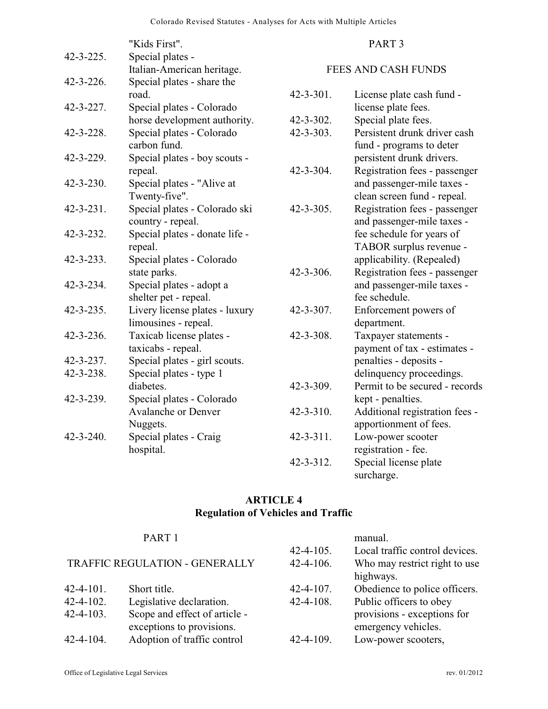|                  | "Kids First".                  |                  | PART <sub>3</sub>              |
|------------------|--------------------------------|------------------|--------------------------------|
| $42 - 3 - 225$ . | Special plates -               |                  |                                |
|                  | Italian-American heritage.     |                  | <b>FEES AND CASH FUNDS</b>     |
| $42 - 3 - 226$ . | Special plates - share the     |                  |                                |
|                  | road.                          | $42 - 3 - 301$ . | License plate cash fund -      |
| $42 - 3 - 227$ . | Special plates - Colorado      |                  | license plate fees.            |
|                  | horse development authority.   | $42 - 3 - 302$ . | Special plate fees.            |
| $42 - 3 - 228$ . | Special plates - Colorado      | $42 - 3 - 303$ . | Persistent drunk driver cash   |
|                  | carbon fund.                   |                  | fund - programs to deter       |
| $42 - 3 - 229$ . | Special plates - boy scouts -  |                  | persistent drunk drivers.      |
|                  | repeal.                        | $42 - 3 - 304.$  | Registration fees - passenger  |
| $42 - 3 - 230.$  | Special plates - "Alive at     |                  | and passenger-mile taxes -     |
|                  | Twenty-five".                  |                  | clean screen fund - repeal.    |
| $42 - 3 - 231$ . | Special plates - Colorado ski  | $42 - 3 - 305$ . | Registration fees - passenger  |
|                  | country - repeal.              |                  | and passenger-mile taxes -     |
| $42 - 3 - 232$ . | Special plates - donate life - |                  | fee schedule for years of      |
|                  | repeal.                        |                  | TABOR surplus revenue -        |
| $42 - 3 - 233$ . | Special plates - Colorado      |                  | applicability. (Repealed)      |
|                  | state parks.                   | $42 - 3 - 306$ . | Registration fees - passenger  |
| $42 - 3 - 234.$  | Special plates - adopt a       |                  | and passenger-mile taxes -     |
|                  | shelter pet - repeal.          |                  | fee schedule.                  |
| $42 - 3 - 235$ . | Livery license plates - luxury | $42 - 3 - 307$ . | Enforcement powers of          |
|                  | limousines - repeal.           |                  | department.                    |
| $42 - 3 - 236.$  | Taxicab license plates -       | $42 - 3 - 308$ . | Taxpayer statements -          |
|                  | taxicabs - repeal.             |                  | payment of tax - estimates -   |
| $42 - 3 - 237$ . | Special plates - girl scouts.  |                  | penalties - deposits -         |
| 42-3-238.        | Special plates - type 1        |                  | delinquency proceedings.       |
|                  | diabetes.                      | $42 - 3 - 309$ . | Permit to be secured - records |
| $42 - 3 - 239$ . | Special plates - Colorado      |                  | kept - penalties.              |
|                  | <b>Avalanche or Denver</b>     | $42 - 3 - 310.$  | Additional registration fees - |
|                  | Nuggets.                       |                  | apportionment of fees.         |
| $42 - 3 - 240.$  | Special plates - Craig         | $42 - 3 - 311$ . | Low-power scooter              |
|                  | hospital.                      |                  | registration - fee.            |
|                  |                                | $42 - 3 - 312$ . | Special license plate          |
|                  |                                |                  | surcharge.                     |

# **ARTICLE 4 Regulation of Vehicles and Traffic**

|                                | PART <sub>1</sub>             |                  | manual.                        |
|--------------------------------|-------------------------------|------------------|--------------------------------|
|                                |                               | $42 - 4 - 105$ . | Local traffic control devices. |
| TRAFFIC REGULATION - GENERALLY |                               | $42 - 4 - 106$ . | Who may restrict right to use  |
|                                |                               |                  | highways.                      |
| $42 - 4 - 101$ .               | Short title.                  | $42 - 4 - 107$ . | Obedience to police officers.  |
| $42 - 4 - 102$ .               | Legislative declaration.      | $42 - 4 - 108$ . | Public officers to obey        |
| $42 - 4 - 103$ .               | Scope and effect of article - |                  | provisions - exceptions for    |
|                                | exceptions to provisions.     |                  | emergency vehicles.            |
| $42 - 4 - 104$ .               | Adoption of traffic control   | $42 - 4 - 109$ . | Low-power scooters,            |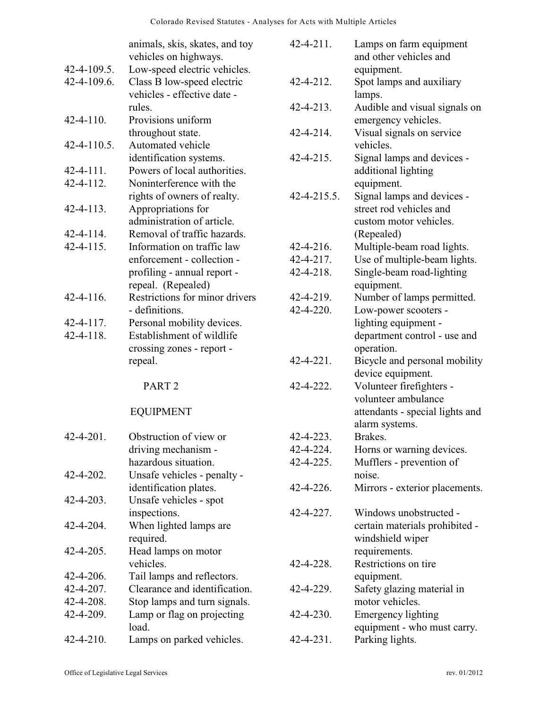|                    | animals, skis, skates, and toy | $42 - 4 - 211$ .   | Lamps on farm equipment         |
|--------------------|--------------------------------|--------------------|---------------------------------|
|                    | vehicles on highways.          |                    | and other vehicles and          |
| 42-4-109.5.        | Low-speed electric vehicles.   |                    | equipment.                      |
| 42-4-109.6.        | Class B low-speed electric     | 42-4-212.          | Spot lamps and auxiliary        |
|                    | vehicles - effective date -    |                    | lamps.                          |
|                    | rules.                         | $42 - 4 - 213$ .   | Audible and visual signals on   |
| $42 - 4 - 110$ .   | Provisions uniform             |                    | emergency vehicles.             |
|                    | throughout state.              | $42 - 4 - 214$ .   | Visual signals on service       |
| $42 - 4 - 110.5$ . | Automated vehicle              |                    | vehicles.                       |
|                    | identification systems.        | 42-4-215.          | Signal lamps and devices -      |
| $42 - 4 - 111$ .   | Powers of local authorities.   |                    | additional lighting             |
| 42-4-112.          | Noninterference with the       |                    | equipment.                      |
|                    | rights of owners of realty.    | $42 - 4 - 215.5$ . | Signal lamps and devices -      |
| $42 - 4 - 113$ .   | Appropriations for             |                    | street rod vehicles and         |
|                    | administration of article.     |                    | custom motor vehicles.          |
| $42 - 4 - 114$ .   | Removal of traffic hazards.    |                    | (Repealed)                      |
| $42 - 4 - 115$ .   | Information on traffic law     | $42 - 4 - 216.$    | Multiple-beam road lights.      |
|                    | enforcement - collection -     | 42-4-217.          | Use of multiple-beam lights.    |
|                    | profiling - annual report -    | 42-4-218.          | Single-beam road-lighting       |
|                    | repeal. (Repealed)             |                    | equipment.                      |
| $42 - 4 - 116$ .   | Restrictions for minor drivers | 42-4-219.          | Number of lamps permitted.      |
|                    | - definitions.                 | 42-4-220.          | Low-power scooters -            |
| $42 - 4 - 117$ .   | Personal mobility devices.     |                    | lighting equipment -            |
| 42-4-118.          | Establishment of wildlife      |                    | department control - use and    |
|                    | crossing zones - report -      |                    | operation.                      |
|                    | repeal.                        | $42 - 4 - 221$ .   | Bicycle and personal mobility   |
|                    |                                |                    | device equipment.               |
|                    | PART <sub>2</sub>              | 42-4-222.          | Volunteer firefighters -        |
|                    |                                |                    | volunteer ambulance             |
|                    | <b>EQUIPMENT</b>               |                    | attendants - special lights and |
|                    |                                |                    | alarm systems.                  |
| 42-4-201.          | Obstruction of view or         | 42-4-223.          | Brakes.                         |
|                    | driving mechanism -            | 42-4-224.          | Horns or warning devices.       |
|                    | hazardous situation.           | 42-4-225.          | Mufflers - prevention of        |
| 42-4-202.          | Unsafe vehicles - penalty -    |                    | noise.                          |
|                    | identification plates.         | 42-4-226.          | Mirrors - exterior placements.  |
| $42 - 4 - 203$ .   | Unsafe vehicles - spot         |                    |                                 |
|                    | inspections.                   | 42-4-227.          | Windows unobstructed -          |
| 42-4-204.          | When lighted lamps are         |                    | certain materials prohibited -  |
|                    | required.                      |                    | windshield wiper                |
| $42 - 4 - 205$ .   | Head lamps on motor            |                    | requirements.                   |
|                    | vehicles.                      | 42-4-228.          | Restrictions on tire            |
| 42-4-206.          | Tail lamps and reflectors.     |                    | equipment.                      |
| 42-4-207.          | Clearance and identification.  | 42-4-229.          | Safety glazing material in      |
| 42-4-208.          | Stop lamps and turn signals.   |                    | motor vehicles.                 |
| 42-4-209.          | Lamp or flag on projecting     | 42-4-230.          | <b>Emergency lighting</b>       |
|                    | load.                          |                    | equipment - who must carry.     |
| 42-4-210.          | Lamps on parked vehicles.      | 42-4-231.          | Parking lights.                 |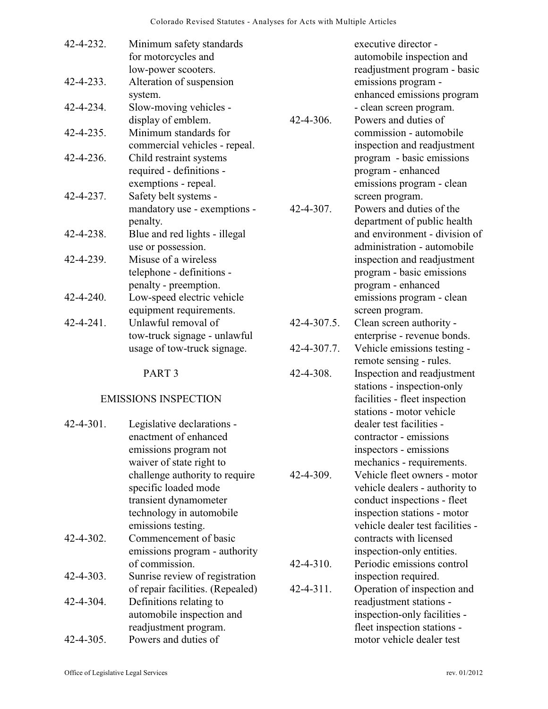| 42-4-232.        | Minimum safety standards<br>for motorcycles and<br>low-power scooters. |                    | executive director -<br>automobile inspection and<br>readjustment program - basic       |
|------------------|------------------------------------------------------------------------|--------------------|-----------------------------------------------------------------------------------------|
| $42 - 4 - 233$ . | Alteration of suspension<br>system.                                    |                    | emissions program -<br>enhanced emissions program                                       |
| 42-4-234.        | Slow-moving vehicles -<br>display of emblem.                           | $42 - 4 - 306$ .   | - clean screen program.<br>Powers and duties of                                         |
| 42-4-235.        | Minimum standards for<br>commercial vehicles - repeal.                 |                    | commission - automobile<br>inspection and readjustment                                  |
| 42-4-236.        | Child restraint systems<br>required - definitions -                    |                    | program - basic emissions<br>program - enhanced                                         |
| 42-4-237.        | exemptions - repeal.<br>Safety belt systems -                          |                    | emissions program - clean<br>screen program.                                            |
|                  | mandatory use - exemptions -<br>penalty.                               | $42 - 4 - 307$ .   | Powers and duties of the<br>department of public health                                 |
| 42-4-238.        | Blue and red lights - illegal<br>use or possession.                    |                    | and environment - division of<br>administration - automobile                            |
| 42-4-239.        | Misuse of a wireless<br>telephone - definitions -                      |                    | inspection and readjustment<br>program - basic emissions                                |
|                  | penalty - preemption.                                                  |                    | program - enhanced                                                                      |
| $42 - 4 - 240.$  | Low-speed electric vehicle<br>equipment requirements.                  |                    | emissions program - clean<br>screen program.                                            |
| $42 - 4 - 241$ . | Unlawful removal of<br>tow-truck signage - unlawful                    | $42 - 4 - 307.5$ . | Clean screen authority -<br>enterprise - revenue bonds.                                 |
|                  | usage of tow-truck signage.                                            | 42-4-307.7.        | Vehicle emissions testing -<br>remote sensing - rules.                                  |
|                  | PART <sub>3</sub>                                                      | $42 - 4 - 308$ .   | Inspection and readjustment                                                             |
|                  | <b>EMISSIONS INSPECTION</b>                                            |                    | stations - inspection-only<br>facilities - fleet inspection<br>stations - motor vehicle |
| $42 - 4 - 301$ . | Legislative declarations -                                             |                    | dealer test facilities -                                                                |
|                  | enactment of enhanced                                                  |                    | contractor - emissions                                                                  |
|                  | emissions program not                                                  |                    | inspectors - emissions                                                                  |
|                  | waiver of state right to                                               |                    | mechanics - requirements.<br>Vehicle fleet owners - motor                               |
|                  | challenge authority to require<br>specific loaded mode                 | 42-4-309.          | vehicle dealers - authority to                                                          |
|                  | transient dynamometer                                                  |                    | conduct inspections - fleet                                                             |
|                  | technology in automobile                                               |                    | inspection stations - motor                                                             |
|                  |                                                                        |                    |                                                                                         |

emissions testing. 42-4-302. Commencement of basic emissions program - authority of commission.

42-4-303. Sunrise review of registration

- of repair facilities. (Repealed) 42-4-304. Definitions relating to automobile inspection and readjustment program. 42-4-305. Powers and duties of
	-

vehicle dealer test facilities contracts with licensed inspection-only entities.

42-4-310. Periodic emissions control

42-4-311. Operation of inspection and

inspection required.

readjustment stations inspection-only facilities fleet inspection stations motor vehicle dealer test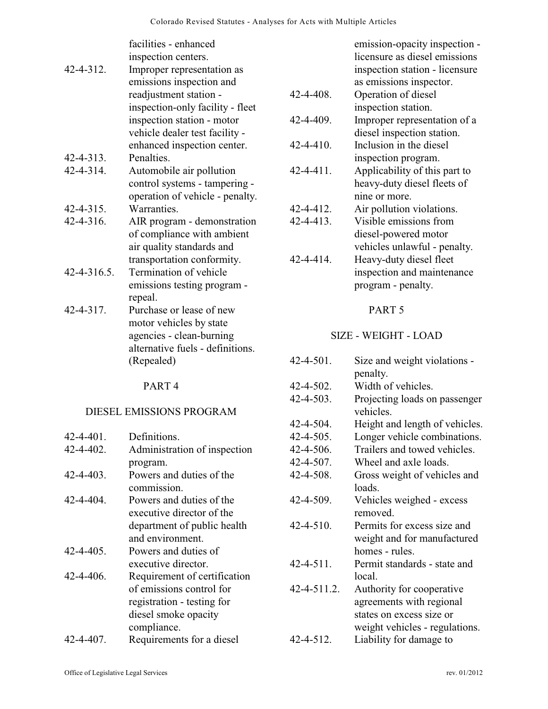|                    | facilities - enhanced            |
|--------------------|----------------------------------|
|                    | inspection centers.              |
| 42-4-312.          | Improper representation as       |
|                    | emissions inspection and         |
|                    | readjustment station -           |
|                    | inspection-only facility - fleet |
|                    | inspection station - motor       |
|                    | vehicle dealer test facility -   |
|                    | enhanced inspection center.      |
| $42 - 4 - 313$ .   | Penalties.                       |
| 42-4-314.          | Automobile air pollution         |
|                    | control systems - tampering -    |
|                    | operation of vehicle - penalty.  |
| $42 - 4 - 315$ .   | Warranties.                      |
| $42 - 4 - 316$ .   | AIR program - demonstration      |
|                    | of compliance with ambient       |
|                    | air quality standards and        |
|                    | transportation conformity.       |
| $42 - 4 - 316.5$ . | Termination of vehicle           |
|                    | emissions testing program -      |
|                    | repeal.                          |
| 42-4-317.          | Purchase or lease of new         |
|                    | motor vehicles by state          |
|                    | agencies - clean-burning         |
|                    | alternative fuels - definitions. |
|                    | (Repealed)                       |
|                    |                                  |

## DIESEL EMISSIONS PROGRAM

| 42-4-401. | Definitions.                 |
|-----------|------------------------------|
| 42-4-402. | Administration of inspection |
|           | program.                     |
| 42-4-403. | Powers and duties of the     |
|           | commission.                  |
| 42-4-404. | Powers and duties of the     |
|           | executive director of the    |
|           | department of public health  |
|           | and environment.             |
| 42-4-405. | Powers and duties of         |
|           | executive director.          |
| 42-4-406. | Requirement of certification |
|           | of emissions control for     |
|           | registration - testing for   |
|           | diesel smoke opacity         |
|           | compliance.                  |
| 42-4-407. | Requirements for a diesel    |

|                  | licensure as diesel emissions  |
|------------------|--------------------------------|
|                  | inspection station - licensure |
|                  | as emissions inspector.        |
| 42-4-408.        | Operation of diesel            |
|                  | inspection station.            |
| 42-4-409.        | Improper representation of a   |
|                  | diesel inspection station.     |
| 42-4-410.        | Inclusion in the diesel        |
|                  | inspection program.            |
| $42 - 4 - 411$ . | Applicability of this part to  |
|                  | heavy-duty diesel fleets of    |
|                  | nine or more.                  |
| 42-4-412.        | Air pollution violations.      |
| $42 - 4 - 413$ . | Visible emissions from         |
|                  | diesel-powered motor           |
|                  | vehicles unlawful - penalty.   |
| $A2 - A14$       | Heavy-duty diesel fleet        |

emission-opacity inspection -

42-4-414. Heavy-duty diesel fleet inspection and maintenance program - penalty.

## PART 5

# SIZE - WEIGHT - LOAD

| 42-4-501.        | Size and weight violations -               |
|------------------|--------------------------------------------|
|                  | penalty.                                   |
| 42-4-502.        | Width of vehicles.                         |
| $42 - 4 - 503$ . | Projecting loads on passenger<br>vehicles. |
| 42-4-504.        | Height and length of vehicles.             |
| 42-4-505.        | Longer vehicle combinations.               |
| 42-4-506.        | Trailers and towed vehicles.               |
| 42-4-507.        | Wheel and axle loads.                      |
| 42-4-508.        | Gross weight of vehicles and               |
|                  | loads.                                     |
| 42-4-509.        | Vehicles weighed - excess                  |
|                  | removed                                    |
| $42 - 4 - 510$ . | Permits for excess size and                |
|                  | weight and for manufactured                |
|                  | homes - rules                              |
| $42 - 4 - 511$ . | Permit standards - state and               |
|                  | local.                                     |
| 42-4-511.2.      | Authority for cooperative                  |
|                  | agreements with regional                   |
|                  | states on excess size or                   |
|                  | weight vehicles - regulations.             |
| 42-4-512.        | Liability for damage to                    |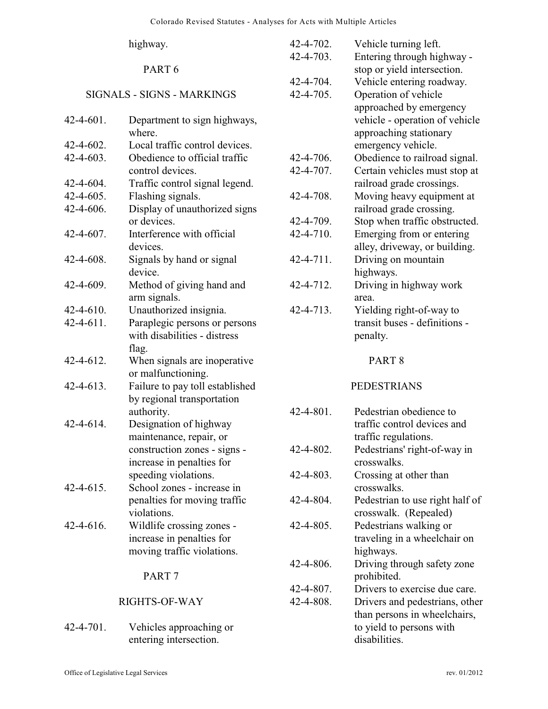|           | highway.                                                      | 42-4-702.<br>42-4-703. | Vehicle turning left.<br>Entering through highway -      |
|-----------|---------------------------------------------------------------|------------------------|----------------------------------------------------------|
|           | PART <sub>6</sub>                                             | 42-4-704.              | stop or yield intersection.<br>Vehicle entering roadway. |
|           | <b>SIGNALS - SIGNS - MARKINGS</b>                             | 42-4-705.              | Operation of vehicle<br>approached by emergency          |
| 42-4-601. | Department to sign highways,<br>where.                        |                        | vehicle - operation of vehicle<br>approaching stationary |
| 42-4-602. | Local traffic control devices.                                |                        | emergency vehicle.                                       |
| 42-4-603. | Obedience to official traffic                                 | 42-4-706.              | Obedience to railroad signal.                            |
|           | control devices.                                              | 42-4-707.              | Certain vehicles must stop at                            |
| 42-4-604. | Traffic control signal legend.                                |                        | railroad grade crossings.                                |
| 42-4-605. | Flashing signals.                                             | 42-4-708.              | Moving heavy equipment at                                |
| 42-4-606. | Display of unauthorized signs                                 |                        | railroad grade crossing.                                 |
|           | or devices.                                                   | 42-4-709.              | Stop when traffic obstructed.                            |
| 42-4-607. | Interference with official                                    | 42-4-710.              | Emerging from or entering                                |
|           | devices.                                                      |                        | alley, driveway, or building.                            |
| 42-4-608. | Signals by hand or signal                                     | 42-4-711.              | Driving on mountain                                      |
|           | device.                                                       |                        | highways.                                                |
| 42-4-609. | Method of giving hand and<br>arm signals.                     | 42-4-712.              | Driving in highway work<br>area.                         |
| 42-4-610. | Unauthorized insignia.                                        | 42-4-713.              | Yielding right-of-way to                                 |
| 42-4-611. | Paraplegic persons or persons<br>with disabilities - distress |                        | transit buses - definitions -<br>penalty.                |
|           | flag.                                                         |                        |                                                          |
| 42-4-612. | When signals are inoperative<br>or malfunctioning.            |                        | PART <sub>8</sub>                                        |
| 42-4-613. | Failure to pay toll established<br>by regional transportation |                        | <b>PEDESTRIANS</b>                                       |
|           | authority.                                                    | 42-4-801.              | Pedestrian obedience to                                  |
| 42-4-614. | Designation of highway                                        |                        | traffic control devices and                              |
|           | maintenance, repair, or                                       |                        | traffic regulations.                                     |
|           | construction zones - signs -                                  | 42-4-802.              | Pedestrians' right-of-way in                             |
|           | increase in penalties for                                     |                        | crosswalks.                                              |
|           | speeding violations.                                          | 42-4-803.              | Crossing at other than                                   |
| 42-4-615. | School zones - increase in                                    |                        | crosswalks.                                              |
|           | penalties for moving traffic                                  | 42-4-804.              | Pedestrian to use right half of                          |
|           | violations.                                                   |                        | crosswalk. (Repealed)                                    |
| 42-4-616. | Wildlife crossing zones -                                     | 42-4-805.              | Pedestrians walking or                                   |
|           | increase in penalties for                                     |                        | traveling in a wheelchair on                             |
|           | moving traffic violations.                                    |                        | highways.                                                |
|           |                                                               | 42-4-806.              | Driving through safety zone                              |
|           | PART <sub>7</sub>                                             |                        | prohibited.                                              |
|           |                                                               | 42-4-807.              | Drivers to exercise due care.                            |
|           | RIGHTS-OF-WAY                                                 | 42-4-808.              | Drivers and pedestrians, other                           |
|           |                                                               |                        | than persons in wheelchairs,                             |
| 42-4-701. | Vehicles approaching or                                       |                        | to yield to persons with                                 |
|           | entering intersection.                                        |                        | disabilities.                                            |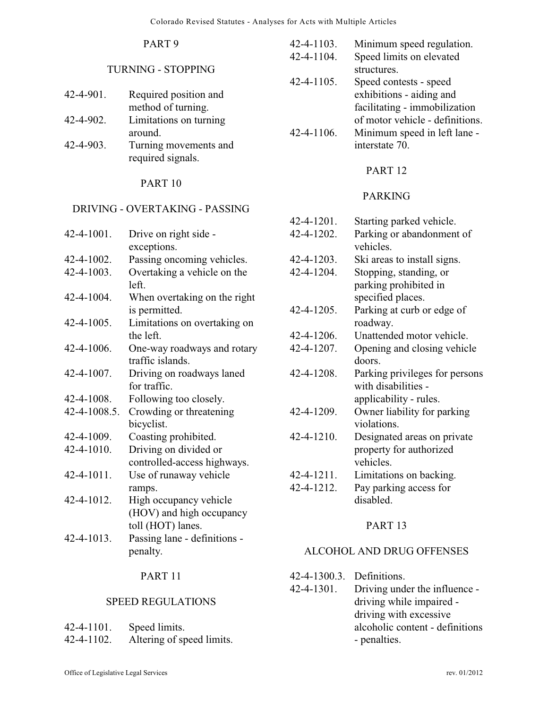### TURNING - STOPPING

| $42 - 4 - 901$ . | Required position and  |
|------------------|------------------------|
|                  | method of turning.     |
| $42 - 4 - 902$ . | Limitations on turning |
|                  | around.                |

42-4-903. Turning movements and required signals.

#### PART 10

# DRIVING - OVERTAKING - PASSING

| Drive on right side -<br>exceptions.            |
|-------------------------------------------------|
| Passing oncoming vehicles.                      |
|                                                 |
| Overtaking a vehicle on the<br>left.            |
| When overtaking on the right<br>is permitted.   |
| Limitations on overtaking on<br>the left.       |
| One-way roadways and rotary<br>traffic islands. |
| Driving on roadways laned<br>for traffic.       |
| Following too closely.                          |
| Crowding or threatening                         |
| bicyclist.                                      |
| Coasting prohibited.                            |
| Driving on divided or                           |
| controlled-access highways.                     |
| Use of runaway vehicle                          |
| ramps.                                          |
| High occupancy vehicle                          |
| (HOV) and high occupancy                        |
| toll (HOT) lanes.                               |
| Passing lane - definitions -                    |
| penalty.                                        |
|                                                 |

# PART 11

#### SPEED REGULATIONS

| $42 - 4 - 1101$ . | Speed limits.             |
|-------------------|---------------------------|
| $42 - 4 - 1102$ . | Altering of speed limits. |

- 42-4-1103. Minimum speed regulation. 42-4-1104. Speed limits on elevated structures. 42-4-1105. Speed contests - speed exhibitions - aiding and facilitating - immobilization of motor vehicle - definitions.
	- 42-4-1106. Minimum speed in left lane interstate 70.

#### PART 12

### PARKING

| 42-4-1201.        | Starting parked vehicle.       |
|-------------------|--------------------------------|
| 42-4-1202.        | Parking or abandonment of      |
|                   | vehicles.                      |
| 42-4-1203.        | Ski areas to install signs.    |
| 42-4-1204.        | Stopping, standing, or         |
|                   | parking prohibited in          |
|                   | specified places.              |
| $42 - 4 - 1205$ . | Parking at curb or edge of     |
|                   | roadway.                       |
| 42-4-1206.        | Unattended motor vehicle.      |
| 42-4-1207.        | Opening and closing vehicle    |
|                   | doors.                         |
| 42-4-1208.        | Parking privileges for persons |
|                   | with disabilities -            |
|                   | applicability - rules.         |
| 42-4-1209.        | Owner liability for parking    |
|                   | violations.                    |
| 42-4-1210.        | Designated areas on private    |
|                   | property for authorized        |
|                   | vehicles.                      |
| 42-4-1211.        | Limitations on backing.        |
| 42-4-1212.        | Pay parking access for         |
|                   | disabled.                      |

## PART 13

#### ALCOHOL AND DRUG OFFENSES

- 42-4-1300.3. Definitions.
- 42-4-1301. Driving under the influence driving while impaired driving with excessive alcoholic content - definitions - penalties.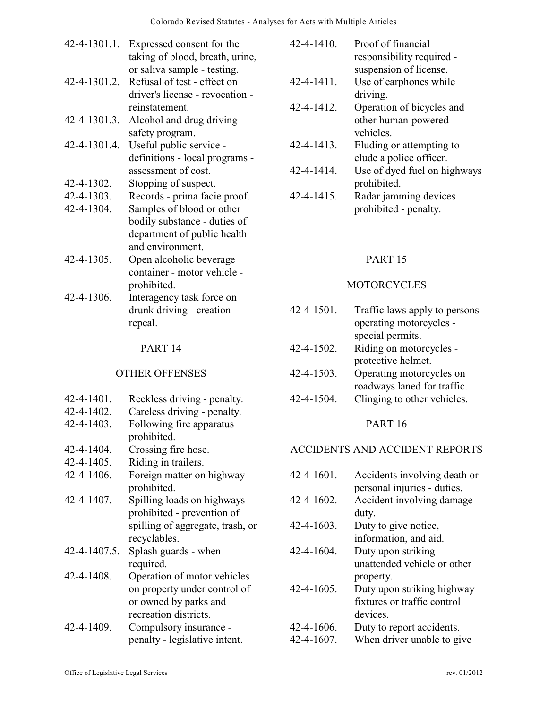| $42 - 4 - 1301.1$ . | Expressed consent for the<br>taking of blood, breath, urine, |
|---------------------|--------------------------------------------------------------|
|                     | or saliva sample - testing.                                  |
| 42-4-1301.2.        | Refusal of test - effect on                                  |
|                     | driver's license - revocation -                              |
|                     | reinstatement.                                               |
| 42-4-1301.3.        | Alcohol and drug driving                                     |
|                     | safety program.                                              |
| 42-4-1301.4.        | Useful public service -                                      |
|                     | definitions - local programs -                               |
|                     | assessment of cost.                                          |
| 42-4-1302.          | Stopping of suspect.                                         |
| 42-4-1303.          | Records - prima facie proof.                                 |
| 42-4-1304.          | Samples of blood or other                                    |
|                     | bodily substance - duties of                                 |
|                     | department of public health                                  |
|                     | and environment.                                             |
| 42-4-1305.          | Open alcoholic beverage                                      |
|                     | container - motor vehicle -                                  |
|                     | prohibited.                                                  |
| 42-4-1306.          | Interagency task force on                                    |
|                     | drunk driving - creation -                                   |

repeal.

#### OTHER OFFENSES

- 42-4-1401. Reckless driving penalty.
- 42-4-1402. Careless driving penalty.
- 42-4-1403. Following fire apparatus prohibited.
- 42-4-1404. Crossing fire hose.
- 42-4-1405. Riding in trailers.
- 42-4-1406. Foreign matter on highway prohibited.
- 42-4-1407. Spilling loads on highways prohibited - prevention of spilling of aggregate, trash, or recyclables.
- 42-4-1407.5. Splash guards when required.
- 42-4-1408. Operation of motor vehicles on property under control of or owned by parks and recreation districts.
- 42-4-1409. Compulsory insurance penalty - legislative intent.

| $42 - 4 - 1410.$  | Proof of financial        |
|-------------------|---------------------------|
|                   | responsibility required - |
|                   | suspension of license.    |
| $42 - 4 - 1411$ . | Use of earphones while    |
|                   | driving.                  |
| 42-4-1412.        | Operation of bicycles and |
|                   | othor human nowarad       |

- other human-powered vehicles.
- 42-4-1413. Eluding or attempting to elude a police officer.
- 42-4-1414. Use of dyed fuel on highways prohibited.
- 42-4-1415. Radar jamming devices prohibited - penalty.

### PART 15

### **MOTORCYCLES**

- 42-4-1501. Traffic laws apply to persons operating motorcycles special permits. 42-4-1502. Riding on motorcycles protective helmet.
- 42-4-1503. Operating motorcycles on roadways laned for traffic.
- 42-4-1504. Clinging to other vehicles.

#### PART 16

#### ACCIDENTS AND ACCIDENT REPORTS

| $42 - 4 - 1601$ . | Accidents involving death or |
|-------------------|------------------------------|
|                   | personal injuries - duties.  |
| $42 - 4 - 1602$ . | Accident involving damage -  |
|                   | duty.                        |
| $42 - 4 - 1603$ . | Duty to give notice,         |
|                   | information, and aid.        |
| $42 - 4 - 1604$ . | Duty upon striking           |
|                   | unattended vehicle or other  |
|                   | property.                    |
| $42 - 4 - 1605$ . | Duty upon striking highway   |
|                   | fixtures or traffic control  |
|                   | devices.                     |
| 42-4-1606.        | Duty to report accidents.    |
| 42-4-1607.        | When driver unable to give   |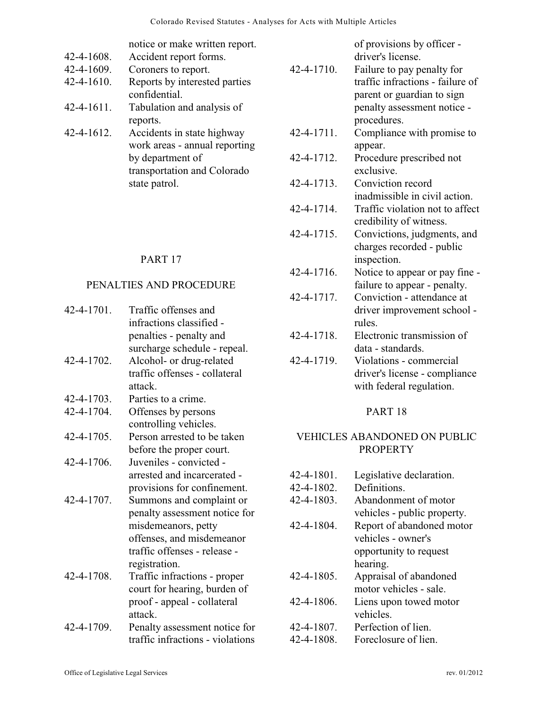|            | notice or make written report. |
|------------|--------------------------------|
| 42-4-1608. | Accident report forms.         |
| 42-4-1609. | Coroners to report.            |
| 42-4-1610. | Reports by interested parties  |
|            | confidential.                  |
| 42-4-1611. | Tabulation and analysis of     |
|            | reports.                       |
| 42-4-1612. | Accidents in state highway     |
|            | work areas - annual reporting  |
|            | by department of               |
|            | transportation and Colorado    |

state patrol.

#### PART 17

#### PENALTIES AND PROCEDURE

| 42-4-1701. | Traffic offenses and             |
|------------|----------------------------------|
|            | infractions classified -         |
|            | penalties - penalty and          |
|            | surcharge schedule - repeal.     |
| 42-4-1702. | Alcohol- or drug-related         |
|            | traffic offenses - collateral    |
|            | attack.                          |
| 42-4-1703. | Parties to a crime.              |
| 42-4-1704. | Offenses by persons              |
|            | controlling vehicles.            |
| 42-4-1705. | Person arrested to be taken      |
|            | before the proper court.         |
| 42-4-1706. | Juveniles - convicted -          |
|            | arrested and incarcerated -      |
|            | provisions for confinement.      |
| 42-4-1707. | Summons and complaint or         |
|            | penalty assessment notice for    |
|            | misdemeanors, petty              |
|            | offenses, and misdemeanor        |
|            | traffic offenses - release -     |
|            | registration.                    |
| 42-4-1708. | Traffic infractions - proper     |
|            | court for hearing, burden of     |
|            | proof - appeal - collateral      |
|            | attack.                          |
| 42-4-1709. | Penalty assessment notice for    |
|            | traffic infractions - violations |

|            | of provisions by officer -       |
|------------|----------------------------------|
|            | driver's license.                |
| 42-4-1710. | Failure to pay penalty for       |
|            | traffic infractions - failure of |
|            | parent or guardian to sign       |
|            | penalty assessment notice -      |
|            | procedures.                      |
| 42-4-1711. | Compliance with promise to       |
|            | appear.                          |
| 42-4-1712. | Procedure prescribed not         |
|            | exclusive.                       |
| 42-4-1713. | Conviction record                |
|            | inadmissible in civil action.    |
| 42-4-1714. | Traffic violation not to affect  |
|            | credibility of witness.          |
| 42-4-1715. | Convictions, judgments, and      |
|            | charges recorded - public        |
|            | inspection.                      |
| 42-4-1716. | Notice to appear or pay fine -   |
|            | failure to appear - penalty.     |
| 42-4-1717. | Conviction - attendance at       |
|            | driver improvement school -      |
|            | rules.                           |
| 42-4-1718. | Electronic transmission of       |
|            | data - standards.                |
| 42-4-1719. | Violations - commercial          |
|            | driver's license - compliance    |
|            | with federal regulation.         |
|            | PART <sub>18</sub>               |
|            |                                  |
|            | VEHICLES ABANDONED ON PUBLIC     |
|            | <b>PROPERTY</b>                  |
|            |                                  |
| 42-4-1801. | Legislative declaration.         |
| 42-4-1802. | Definitions.                     |
| 42-4-1803. | Abandonment of motor             |
|            | vehicles - public property.      |
| 42-4-1804. | Report of abandoned motor        |

vehicles - owner's opportunity to request

motor vehicles - sale.

hearing. 42-4-1805. Appraisal of abandoned

42-4-1806. Liens upon towed motor vehicles.

42-4-1807. Perfection of lien. 42-4-1808. Foreclosure of lien.